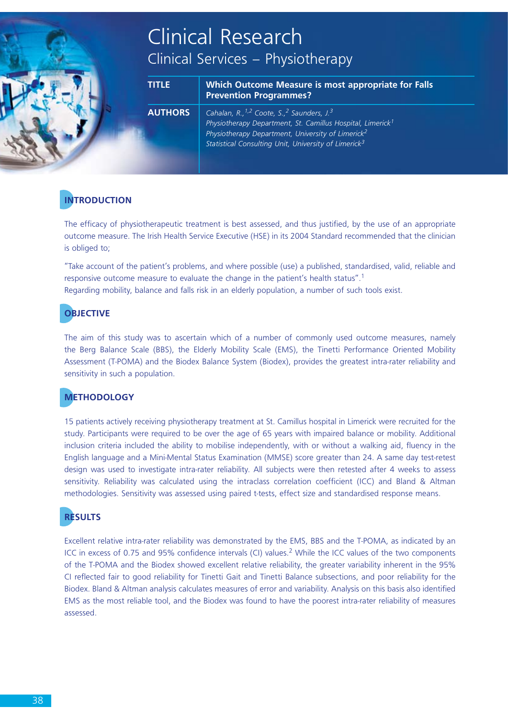# Clinical Research Clinical Services – Physiotherapy

| <b>TITLE</b> | Which Outcome Measure is most appropriate for Falls<br><b>Prevention Programmes?</b> |
|--------------|--------------------------------------------------------------------------------------|
|--------------|--------------------------------------------------------------------------------------|

**AUTHORS** *Cahalan, R.,1,2 Coote, S.,2 Saunders, J.3 Physiotherapy Department, St. Camillus Hospital, Limerick1 Physiotherapy Department, University of Limerick2 Statistical Consulting Unit, University of Limerick3*

## **INTRODUCTION**

The efficacy of physiotherapeutic treatment is best assessed, and thus justified, by the use of an appropriate outcome measure. The Irish Health Service Executive (HSE) in its 2004 Standard recommended that the clinician is obliged to;

"Take account of the patient's problems, and where possible (use) a published, standardised, valid, reliable and responsive outcome measure to evaluate the change in the patient's health status".1 Regarding mobility, balance and falls risk in an elderly population, a number of such tools exist.

## **OBJECTIVE**

The aim of this study was to ascertain which of a number of commonly used outcome measures, namely the Berg Balance Scale (BBS), the Elderly Mobility Scale (EMS), the Tinetti Performance Oriented Mobility Assessment (T-POMA) and the Biodex Balance System (Biodex), provides the greatest intra-rater reliability and sensitivity in such a population.

## **METHODOLOGY**

15 patients actively receiving physiotherapy treatment at St. Camillus hospital in Limerick were recruited for the study. Participants were required to be over the age of 65 years with impaired balance or mobility. Additional inclusion criteria included the ability to mobilise independently, with or without a walking aid, fluency in the English language and a Mini-Mental Status Examination (MMSE) score greater than 24. A same day test-retest design was used to investigate intra-rater reliability. All subjects were then retested after 4 weeks to assess sensitivity. Reliability was calculated using the intraclass correlation coefficient (ICC) and Bland & Altman methodologies. Sensitivity was assessed using paired t-tests, effect size and standardised response means.

### **RESULTS**

Excellent relative intra-rater reliability was demonstrated by the EMS, BBS and the T-POMA, as indicated by an ICC in excess of 0.75 and 95% confidence intervals (CI) values.<sup>2</sup> While the ICC values of the two components of the T-POMA and the Biodex showed excellent relative reliability, the greater variability inherent in the 95% CI reflected fair to good reliability for Tinetti Gait and Tinetti Balance subsections, and poor reliability for the Biodex. Bland & Altman analysis calculates measures of error and variability. Analysis on this basis also identified EMS as the most reliable tool, and the Biodex was found to have the poorest intra-rater reliability of measures assessed.